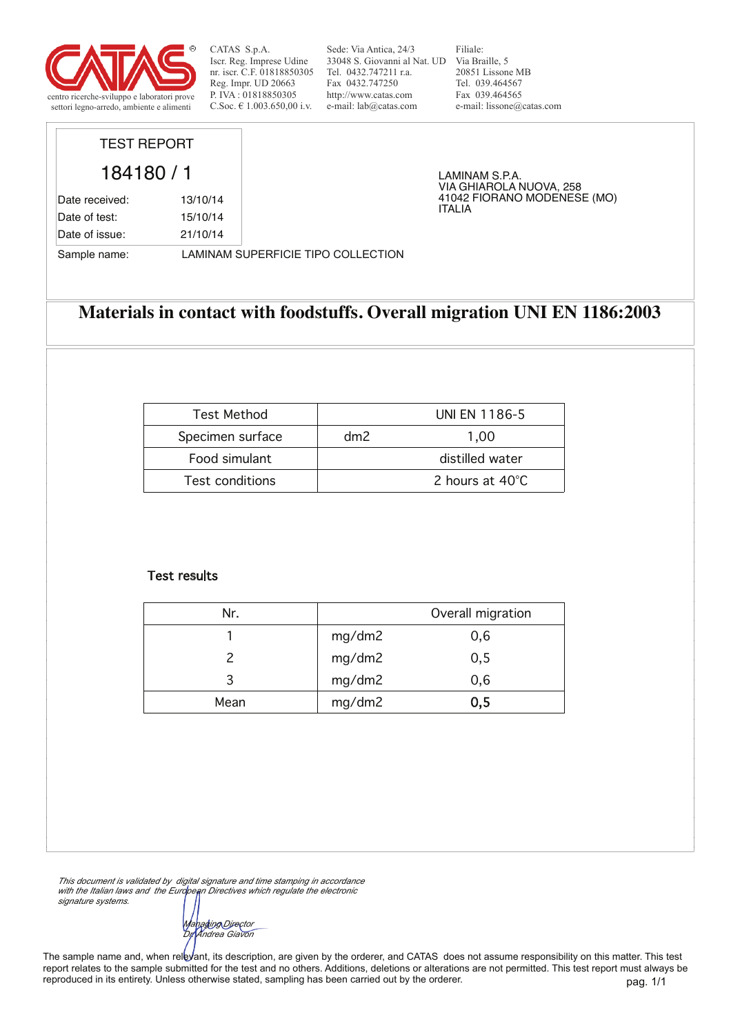

Sede: Via Antica, 24/3 33048 S. Giovanni al Nat. UD Via Braille, 5 Tel. 0432.747211 r.a. Fax 0432.747250 http://www.catas.com e-mail: lab@catas.com

Filiale: 20851 Lissone MB Tel. 039.464567 Fax 039.464565 e-mail: lissone@catas.com

VIA GHIAROLA NUOVA, 258 41042 FIORANO MODENESE (MO)

LAMINAM S.P.A.

ITALIA

# TEST REPORT

184180 / 1 Date received: 13/10/14 Date of test: 15/10/14 Date of issue: 21/10/14

Sample name: LAMINAM SUPERFICIE TIPO COLLECTION

## **Materials in contact with foodstuffs. Overall migration UNI EN 1186:2003**

| <b>Test Method</b>     |     | UNI EN 1186-5   |
|------------------------|-----|-----------------|
| Specimen surface       | dm2 | 1.00            |
| Food simulant          |     | distilled water |
| <b>Test conditions</b> |     | 2 hours at 40°C |

### Test results

| Nr.  |        | Overall migration |
|------|--------|-------------------|
|      | mg/dm2 | 0,6               |
|      | mg/dm2 | 0, 5              |
| 3    | mg/dm2 | 0,6               |
| Mean | mg/dm2 | 0,5               |

*This document is validated by digital signature and time stamping in accordance with the Italian laws and the European Directives which regulate the electronic signature systems.*

*Managing Director Dr. Andrea Giavon*

pag. 1/1 The sample name and, when relevant, its description, are given by the orderer, and CATAS does not assume responsibility on this matter. This test report relates to the sample submitted for the test and no others. Additions, deletions or alterations are not permitted. This test report must always be reproduced in its entirety. Unless otherwise stated, sampling has been carried out by the orderer.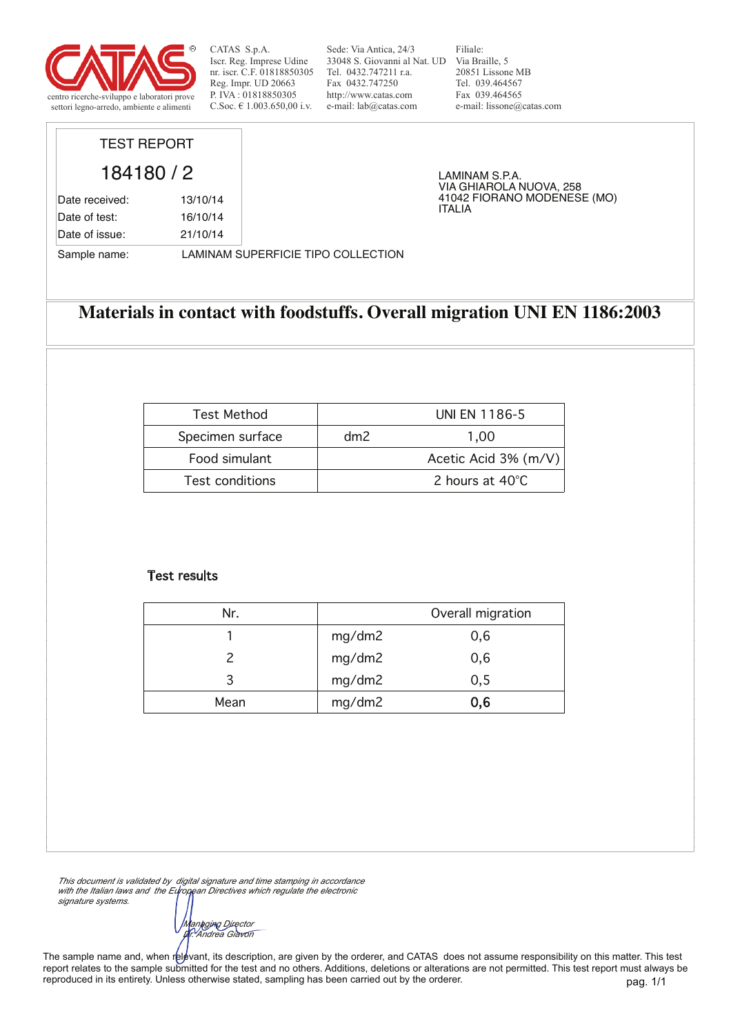

Sede: Via Antica, 24/3 33048 S. Giovanni al Nat. UD Via Braille, 5 Tel. 0432.747211 r.a. Fax 0432.747250 http://www.catas.com e-mail: lab@catas.com

Filiale: 20851 Lissone MB Tel. 039.464567 Fax 039.464565 e-mail: lissone@catas.com

VIA GHIAROLA NUOVA, 258 41042 FIORANO MODENESE (MO)

LAMINAM S.P.A.

ITALIA

## TEST REPORT

184180 / 2 Date received: 13/10/14 Date of test: 16/10/14 Date of issue: 21/10/14

Sample name: LAMINAM SUPERFICIE TIPO COLLECTION

## **Materials in contact with foodstuffs. Overall migration UNI EN 1186:2003**

| <b>Test Method</b>     |     | UNI EN 1186-5        |
|------------------------|-----|----------------------|
| Specimen surface       | dm2 | 1.00                 |
| Food simulant          |     | Acetic Acid 3% (m/V) |
| <b>Test conditions</b> |     | 2 hours at 40°C      |

### Test results

| Nr.  |        | Overall migration |
|------|--------|-------------------|
|      | mg/dm2 | 0,6               |
|      | mg/dm2 | 0,6               |
| 3    | mg/dm2 | 0, 5              |
| Mean | mg/dm2 | 0,6               |

*This document is validated by digital signature and time stamping in accordance with the Italian laws and the European Directives which regulate the electronic signature systems.*

*Managing Director Dr. Andrea Giavon*

The sample name and, when relevant, its description, are given by the orderer, and CATAS does not assume responsibility on this matter. This test report relates to the sample submitted for the test and no others. Additions, deletions or alterations are not permitted. This test report must always be reproduced in its entirety. Unless otherwise stated, sampling has been carried out by the orderer.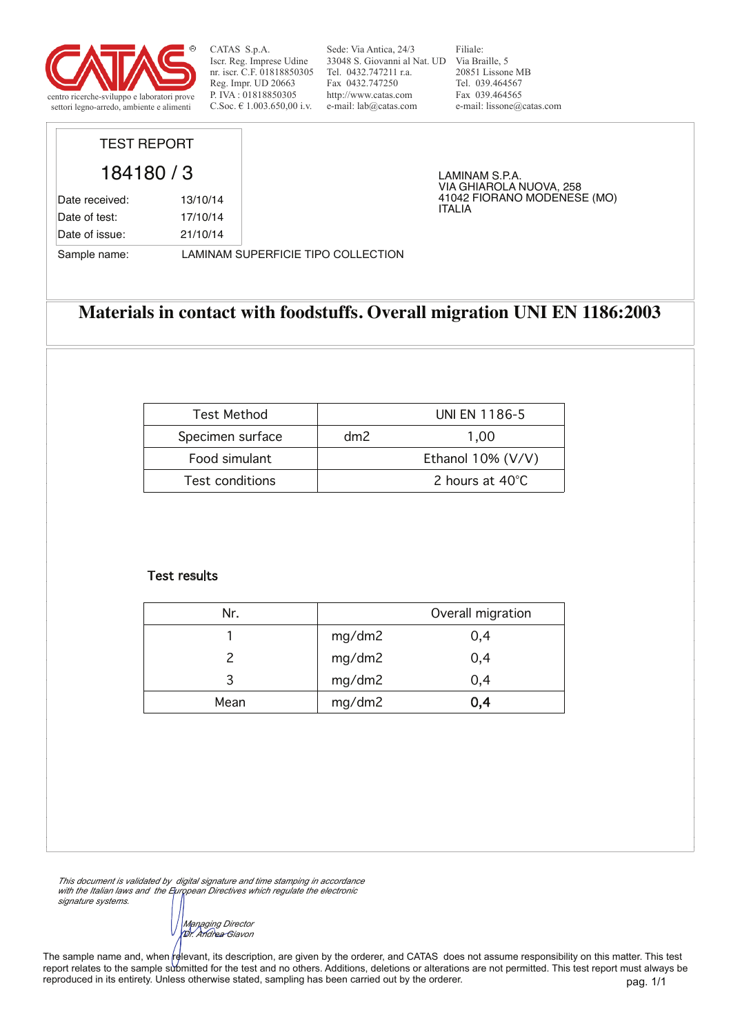

Sede: Via Antica, 24/3 33048 S. Giovanni al Nat. UD Via Braille, 5 Tel. 0432.747211 r.a. Fax 0432.747250 http://www.catas.com e-mail: lab@catas.com

Filiale: 20851 Lissone MB Tel. 039.464567 Fax 039.464565 e-mail: lissone@catas.com

VIA GHIAROLA NUOVA, 258 41042 FIORANO MODENESE (MO)

LAMINAM S.P.A.

ITALIA

# TEST REPORT

184180 / 3 Date received: 13/10/14 Date of test: 17/10/14 Date of issue: 21/10/14

Sample name: LAMINAM SUPERFICIE TIPO COLLECTION

## **Materials in contact with foodstuffs. Overall migration UNI EN 1186:2003**

| <b>Test Method</b>     |     | UNI EN 1186-5        |
|------------------------|-----|----------------------|
| Specimen surface       | dm2 | 1.00                 |
| Food simulant          |     | Ethanol $10\%$ (V/V) |
| <b>Test conditions</b> |     | 2 hours at 40°C      |

### Test results

| Nr.  | Overall migration |     |
|------|-------------------|-----|
|      | mg/dm2            | 0,4 |
|      | mg/dm2            | 0,4 |
| 3    | mg/dm2            | 0,4 |
| Mean | mg/dm2            | 0,4 |

*This document is validated by digital signature and time stamping in accordance with the Italian laws and the European Directives which regulate the electronic signature systems.*

*Managing Director Dr. Andrea Giavon*

pag. 1/1 The sample name and, when relevant, its description, are given by the orderer, and CATAS does not assume responsibility on this matter. This test report relates to the sample submitted for the test and no others. Additions, deletions or alterations are not permitted. This test report must always be reproduced in its entirety. Unless otherwise stated, sampling has been carried out by the orderer.